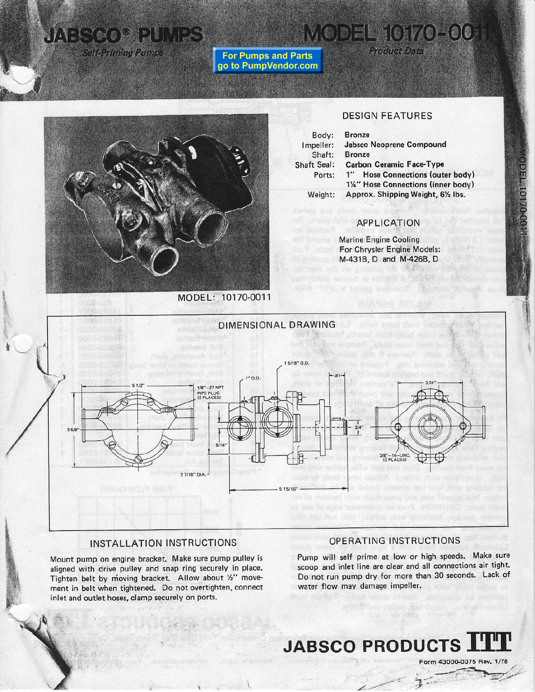### UAES CO<sup>O PUMPS</sup> **Self-Priming Pumps**

**For Pumps and Parts** go to PumpVendor.com **Product Data** 

MODEL 10170-00

#### **DESIGN FEATURES**

Body: Impeller: Shaft: Shaft Seal: Ports: Approx. Shipping Weight, 61/2 lbs.

**Bronze Jabsco Neoprene Compound Bronze Carbon Ceramic Face-Type** 1" Hose Connections (outer body) 1¼" Hose Connections (inner body)

Weight:

## APPLICATION

**Marine Engine Cooling** For Chrysler Engine Models: M-431B, D and M-426B, D



MODEL: 10170-0011

#### **INSTALLATION INSTRUCTIONS**

Mount pump on engine bracket. Make sure pump pulley is aligned with drive pulley and snap ring securely in place. Tighten belt by moving bracket. Allow about 1/2" movement in belt when tightened. Do not overtighten, connect inlet and outlet hoses, clamp securely on ports.

#### OPERATING INSTRUCTIONS

Pump will self prime at low or high speeds. Make sure scoop and inlet line are clear and all connections air tight. Do not run pump dry for more than 30 seconds. Lack of water flow may damage impeller.

# **JABSCO PRODUCTS.**

Form 43000-0075 Rev.